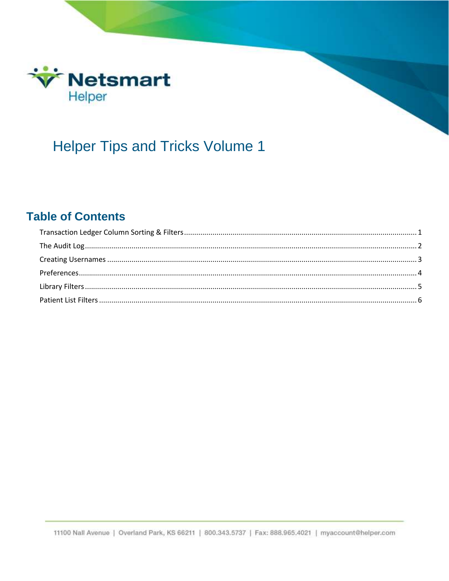

# **Helper Tips and Tricks Volume 1**

#### **Table of Contents**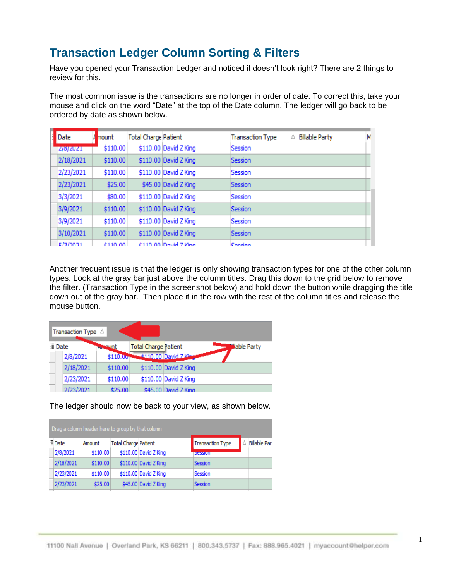#### <span id="page-1-0"></span>**Transaction Ledger Column Sorting & Filters**

Have you opened your Transaction Ledger and noticed it doesn't look right? There are 2 things to review for this.

The most common issue is the transactions are no longer in order of date. To correct this, take your mouse and click on the word "Date" at the top of the Date column. The ledger will go back to be ordered by date as shown below.

| Date          | mount    | <b>Total Charge Patient</b> |                       | Δ<br><b>Transaction Type</b> | <b>Billable Party</b> | Ν |
|---------------|----------|-----------------------------|-----------------------|------------------------------|-----------------------|---|
| 2/8/2021      | \$110.00 |                             | \$110.00 David Z King | Session                      |                       |   |
| 2/18/2021     | \$110.00 |                             | \$110.00 David Z King | Session                      |                       |   |
| 2/23/2021     | \$110.00 |                             | \$110.00 David Z King | Session                      |                       |   |
| 2/23/2021     | \$25.00  |                             | \$45.00 David Z King  | Session                      |                       |   |
| 3/3/2021      | \$80.00  |                             | \$110.00 David Z King | Session                      |                       |   |
| 3/9/2021      | \$110.00 |                             | \$110.00 David Z King | Session                      |                       |   |
| 3/9/2021      | \$110.00 |                             | \$110.00 David Z King | Session                      |                       |   |
| 3/10/2021     | \$110.00 |                             | \$110.00 David Z King | Session                      |                       |   |
| <b>CITION</b> | éssa aal |                             | 6110.00 David 7 Vina  | Condian                      |                       |   |

Another frequent issue is that the ledger is only showing transaction types for one of the other column types. Look at the gray bar just above the column titles. Drag this down to the grid below to remove the filter. (Transaction Type in the screenshot below) and hold down the button while dragging the title down out of the gray bar. Then place it in the row with the rest of the column titles and release the mouse button.

|        | Transaction Type A |             |                             |                       |                    |
|--------|--------------------|-------------|-----------------------------|-----------------------|--------------------|
| ⊞ Date |                    | runt        | <b>Total Charge Patient</b> |                       | <b>Mable Party</b> |
|        | 2/8/2021           | $$110.00 -$ |                             | 4110.00 David 7 Kin   |                    |
|        | 2/18/2021          | \$110.00    |                             | \$110.00 David Z King |                    |
|        | 2/23/2021          | \$110.00    |                             | \$110.00 David Z King |                    |
|        | 2/23/2021          | \$25.00     |                             | ¢45.00 David 7 King   |                    |

The ledger should now be back to your view, as shown below.

| Drag a column header here to group by that column |          |                             |                       |                         |                      |
|---------------------------------------------------|----------|-----------------------------|-----------------------|-------------------------|----------------------|
| ⊞ Date                                            | Amount   | <b>Total Charge Patient</b> |                       | <b>Transaction Type</b> | <b>Billable Part</b> |
| 2/8/2021                                          | \$110.00 |                             | \$110.00 David Z King | <b>клессиот</b>         |                      |
| 2/18/2021                                         | \$110.00 |                             | \$110.00 David Z King | Session                 |                      |
| 2/23/2021                                         | \$110.00 |                             | \$110.00 David Z King | Session                 |                      |
| 2/23/2021                                         | \$25.00  |                             | \$45.00 David Z King  | Session                 |                      |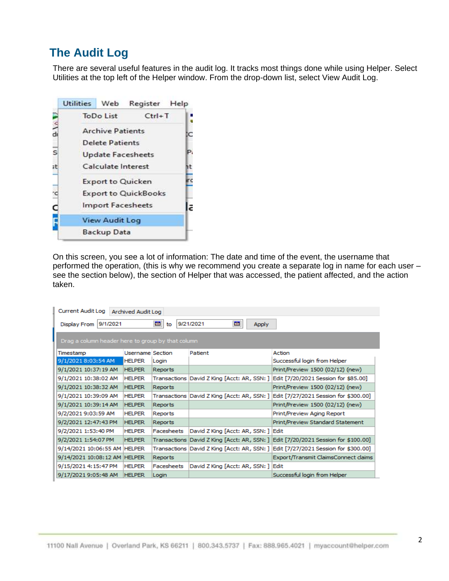### <span id="page-2-0"></span>**The Audit Log**

There are several useful features in the audit log. It tracks most things done while using Helper. Select Utilities at the top left of the Helper window. From the drop-down list, select View Audit Log.



On this screen, you see a lot of information: The date and time of the event, the username that performed the operation, (this is why we recommend you create a separate log in name for each user – see the section below), the section of Helper that was accessed, the patient affected, and the action taken.

| <b>Current Audit Log</b>                          | Archived Audit Log      |                   |                                             |                                                                                     |
|---------------------------------------------------|-------------------------|-------------------|---------------------------------------------|-------------------------------------------------------------------------------------|
| 9/1/2021<br>Display From                          |                         | 國<br>to           | 國<br>9/21/2021<br><b>Apply</b>              |                                                                                     |
| Drag a column header here to group by that column |                         |                   |                                             |                                                                                     |
| Timestamp                                         | <b>Username Section</b> |                   | Patient                                     | Action                                                                              |
| 9/1/2021 8:03:54 AM                               | <b>HELPER</b>           | Login             |                                             | Successful login from Helper                                                        |
| 9/1/2021 10:37:19 AM                              | <b>HELPER</b>           | Reports           |                                             | Print/Preview 1500 (02/12) (new)                                                    |
| 9/1/2021 10:38:02 AM                              | <b>HELPER</b>           |                   | Transactions David Z King [Acct: AR, SSN: ] | Edit [7/20/2021 Session for \$85.00]                                                |
| 9/1/2021 10:38:32 AM                              | <b>HELPER</b>           | Reports           |                                             | Print/Preview 1500 (02/12) (new)                                                    |
| 9/1/2021 10:39:09 AM                              | <b>HELPER</b>           |                   |                                             | Transactions  David Z King [Acct: AR, SSN: ]  Edit [7/27/2021 Session for \$300.00] |
| 9/1/2021 10:39:14 AM                              | <b>HELPER</b>           | <b>Reports</b>    |                                             | Print/Preview 1500 (02/12) (new)                                                    |
| 9/2/2021 9:03:59 AM                               | <b>HELPER</b>           | Reports           |                                             | Print/Preview Aging Report                                                          |
| 9/2/2021 12:47:43 PM                              | <b>HELPER</b>           | <b>Reports</b>    |                                             | Print/Preview Standard Statement                                                    |
| 9/2/2021 1:53:40 PM                               | <b>HELPER</b>           | Facesheets        | David Z King [Acct: AR, SSN: ] Edit         |                                                                                     |
| 9/2/2021 1:54:07 PM                               | <b>HELPER</b>           |                   |                                             | Transactions David Z King [Acct: AR, SSN: ] Edit [7/20/2021 Session for \$100.00]   |
| 9/14/2021 10:06:55 AM HELPER                      |                         |                   | Transactions David Z King [Acct: AR, SSN: ] | Edit [7/27/2021 Session for \$300.00]                                               |
| 9/14/2021 10:08:12 AM HELPER                      |                         | <b>Reports</b>    |                                             | Export/Transmit ClaimsConnect claims                                                |
| 9/15/2021 4:15:47 PM                              | <b>HELPER</b>           | <b>Facesheets</b> | David Z King [Acct: AR, SSN: ]              | Edit                                                                                |
| 9/17/2021 9:05:48 AM                              | <b>HELPER</b>           | Login             |                                             | Successful login from Helper                                                        |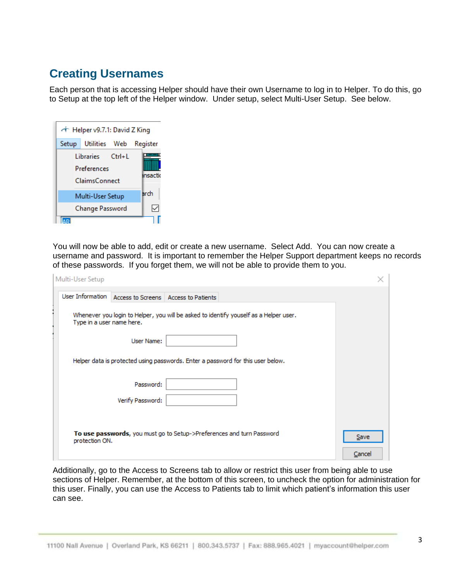#### <span id="page-3-0"></span>**Creating Usernames**

Each person that is accessing Helper should have their own Username to log in to Helper. To do this, go to Setup at the top left of the Helper window. Under setup, select Multi-User Setup. See below.

| ← Helper v9.7.1: David Z King |                                                         |  |              |
|-------------------------------|---------------------------------------------------------|--|--------------|
| Setup                         | Utilities Web                                           |  | Register     |
|                               | Libraries Ctrl+L<br>Preferences<br><b>ClaimsConnect</b> |  | <br>insactio |
|                               | Multi-User Setup                                        |  | arch         |
|                               | <b>Change Password</b>                                  |  | ⋉            |
|                               |                                                         |  |              |

You will now be able to add, edit or create a new username. Select Add. You can now create a username and password. It is important to remember the Helper Support department keeps no records of these passwords. If you forget them, we will not be able to provide them to you.

| Multi-User Setup                                                                                                   |             |
|--------------------------------------------------------------------------------------------------------------------|-------------|
| User Information   Access to Screens   Access to Patients                                                          |             |
| Whenever you login to Helper, you will be asked to identify youself as a Helper user.<br>Type in a user name here. |             |
| User Name:                                                                                                         |             |
| Helper data is protected using passwords. Enter a password for this user below.                                    |             |
| Password:                                                                                                          |             |
| Verify Password:                                                                                                   |             |
|                                                                                                                    |             |
| To use passwords, you must go to Setup->Preferences and turn Password<br>protection ON.                            | <b>Save</b> |
|                                                                                                                    | Cancel      |

Additionally, go to the Access to Screens tab to allow or restrict this user from being able to use sections of Helper. Remember, at the bottom of this screen, to uncheck the option for administration for this user. Finally, you can use the Access to Patients tab to limit which patient's information this user can see.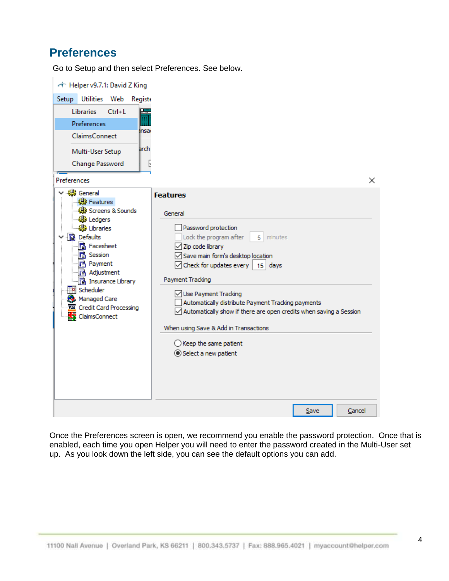#### <span id="page-4-0"></span>**Preferences**

Go to Setup and then select Preferences. See below.

| + Helper v9.7.1: David Z King                                                                                                                                                                                                                                                             |                                                                                                                                                                                                                                                                                                                                                                                                                                                                                                                     |
|-------------------------------------------------------------------------------------------------------------------------------------------------------------------------------------------------------------------------------------------------------------------------------------------|---------------------------------------------------------------------------------------------------------------------------------------------------------------------------------------------------------------------------------------------------------------------------------------------------------------------------------------------------------------------------------------------------------------------------------------------------------------------------------------------------------------------|
| Setup Utilities Web<br>Registo                                                                                                                                                                                                                                                            |                                                                                                                                                                                                                                                                                                                                                                                                                                                                                                                     |
| <b>Libraries</b><br>$Ctrl + L$                                                                                                                                                                                                                                                            |                                                                                                                                                                                                                                                                                                                                                                                                                                                                                                                     |
| Preferences                                                                                                                                                                                                                                                                               |                                                                                                                                                                                                                                                                                                                                                                                                                                                                                                                     |
| insa<br><b>ClaimsConnect</b>                                                                                                                                                                                                                                                              |                                                                                                                                                                                                                                                                                                                                                                                                                                                                                                                     |
| arch<br>Multi-User Setup                                                                                                                                                                                                                                                                  |                                                                                                                                                                                                                                                                                                                                                                                                                                                                                                                     |
| Change Password                                                                                                                                                                                                                                                                           | Ŀ                                                                                                                                                                                                                                                                                                                                                                                                                                                                                                                   |
| <b>Preferences</b>                                                                                                                                                                                                                                                                        | ×                                                                                                                                                                                                                                                                                                                                                                                                                                                                                                                   |
| <b>B</b> General<br><b>機</b> Features<br>Screens & Sounds<br>@B Ledgers<br><b>●</b> Libraries<br>·图 Defaults<br><b>a</b> Facesheet<br>1 Session<br>a Payment<br><b>a</b> Adjustment<br>1 Insurance Library<br>Scheduler<br>Managed Care<br><b>Credit Card Processing</b><br>ClaimsConnect | <b>Features</b><br>General<br>Password protection<br>Lock the program after<br>minutes<br>5.<br>$\sqrt{ }$ Zip code library<br>Save main form's desktop location<br>$\sqrt{\phantom{a}}$ Check for updates every   15   days<br>Payment Tracking<br>Use Payment Tracking<br>Automatically distribute Payment Tracking payments<br>$\sqrt{}$ Automatically show if there are open credits when saving a Session<br>When using Save & Add in Transactions<br>$\bigcirc$ Keep the same patient<br>Select a new patient |
|                                                                                                                                                                                                                                                                                           | Cancel<br>Save                                                                                                                                                                                                                                                                                                                                                                                                                                                                                                      |

Once the Preferences screen is open, we recommend you enable the password protection. Once that is enabled, each time you open Helper you will need to enter the password created in the Multi-User set up. As you look down the left side, you can see the default options you can add.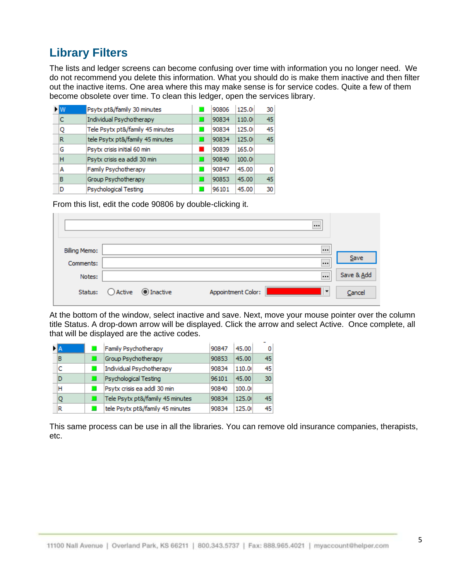### <span id="page-5-0"></span>**Library Filters**

The lists and ledger screens can become confusing over time with information you no longer need. We do not recommend you delete this information. What you should do is make them inactive and then filter out the inactive items. One area where this may make sense is for service codes. Quite a few of them become obsolete over time. To clean this ledger, open the services library.

| <b>EM</b> | Psytx pt&/family 30 minutes      | 90806 | 125.0  | 30 |
|-----------|----------------------------------|-------|--------|----|
| c         | Individual Psychotherapy         | 90834 | 110.0  | 45 |
| Q         | Tele Psytx pt&/family 45 minutes | 90834 | 125.0  | 45 |
| R         | tele Psytx pt&/family 45 minutes | 90834 | 125.0  | 45 |
| G         | Psytx crisis initial 60 min      | 90839 | 165.00 |    |
| н         | Psytx crisis ea addl 30 min      | 90840 | 100.0  |    |
| А         | Family Psychotherapy             | 90847 | 45.00  | 0  |
| в         | Group Psychotherapy              | 90853 | 45.00  | 45 |
| D         | Psychological Testing            | 96101 | 45.00  | 30 |

From this list, edit the code 90806 by double-clicking it.

| <b>Billing Memo:</b> |            |                  |                    |         |            |
|----------------------|------------|------------------|--------------------|---------|------------|
| Comments:            |            |                  |                    |         | Save       |
| Notes:               |            |                  |                    |         | Save & Add |
| Status:              | $O$ Active | $\odot$ Inactive | Appointment Color: | $\cdot$ | Cancel     |

At the bottom of the window, select inactive and save. Next, move your mouse pointer over the column title Status. A drop-down arrow will be displayed. Click the arrow and select Active. Once complete, all that will be displayed are the active codes.

|   | Family Psychotherapy             | 90847 | 45.00 | 0               |
|---|----------------------------------|-------|-------|-----------------|
| в | Group Psychotherapy              | 90853 | 45.00 | 45              |
| c | Individual Psychotherapy         | 90834 | 110.0 | 45              |
| D | Psychological Testing            | 96101 | 45.00 | 30 <sup>1</sup> |
| н | Psytx crisis ea addl 30 min      | 90840 | 100.0 |                 |
| Q | Tele Psytx pt&/family 45 minutes | 90834 | 125.0 | 45              |
| R | tele Psytx pt&/family 45 minutes | 90834 | 125.0 | 45              |

This same process can be use in all the libraries. You can remove old insurance companies, therapists, etc.